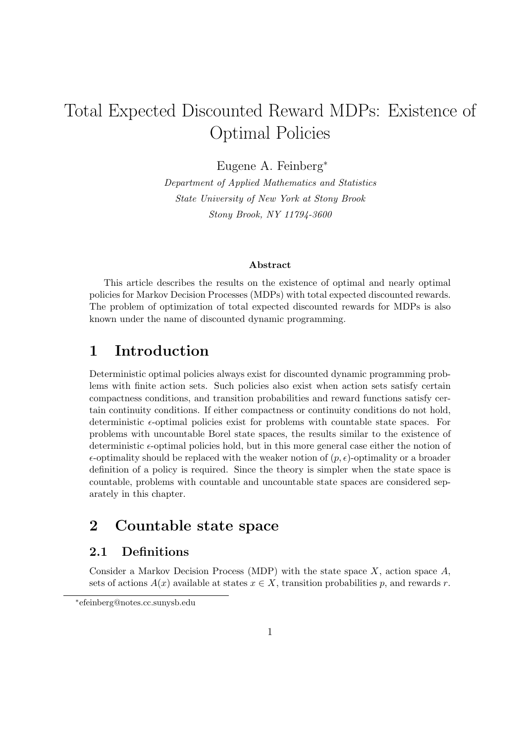# Total Expected Discounted Reward MDPs: Existence of Optimal Policies

Eugene A. Feinberg<sup>∗</sup>

Department of Applied Mathematics and Statistics State University of New York at Stony Brook Stony Brook, NY 11794-3600

#### Abstract

This article describes the results on the existence of optimal and nearly optimal policies for Markov Decision Processes (MDPs) with total expected discounted rewards. The problem of optimization of total expected discounted rewards for MDPs is also known under the name of discounted dynamic programming.

# 1 Introduction

Deterministic optimal policies always exist for discounted dynamic programming problems with finite action sets. Such policies also exist when action sets satisfy certain compactness conditions, and transition probabilities and reward functions satisfy certain continuity conditions. If either compactness or continuity conditions do not hold, deterministic  $\epsilon$ -optimal policies exist for problems with countable state spaces. For problems with uncountable Borel state spaces, the results similar to the existence of deterministic  $\epsilon$ -optimal policies hold, but in this more general case either the notion of  $\epsilon$ -optimality should be replaced with the weaker notion of  $(p, \epsilon)$ -optimality or a broader definition of a policy is required. Since the theory is simpler when the state space is countable, problems with countable and uncountable state spaces are considered separately in this chapter.

# 2 Countable state space

#### 2.1 Definitions

Consider a Markov Decision Process (MDP) with the state space  $X$ , action space  $A$ , sets of actions  $A(x)$  available at states  $x \in X$ , transition probabilities p, and rewards r.

<sup>∗</sup> efeinberg@notes.cc.sunysb.edu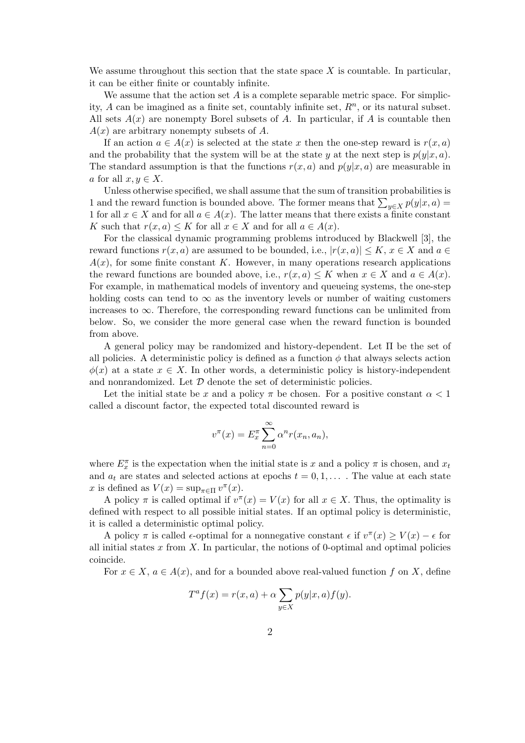We assume throughout this section that the state space  $X$  is countable. In particular, it can be either finite or countably infinite.

We assume that the action set  $A$  is a complete separable metric space. For simplicity, A can be imagined as a finite set, countably infinite set,  $R<sup>n</sup>$ , or its natural subset. All sets  $A(x)$  are nonempty Borel subsets of A. In particular, if A is countable then  $A(x)$  are arbitrary nonempty subsets of A.

If an action  $a \in A(x)$  is selected at the state x then the one-step reward is  $r(x, a)$ and the probability that the system will be at the state y at the next step is  $p(y|x, a)$ . The standard assumption is that the functions  $r(x, a)$  and  $p(y|x, a)$  are measurable in a for all  $x, y \in X$ .

Unless otherwise specified, we shall assume that the sum of transition probabilities is Unless otherwise specified, we shall assume that the sum of transition probabilities is<br>1 and the reward function is bounded above. The former means that  $\sum_{y \in X} p(y|x, a) =$ 1 for all  $x \in X$  and for all  $a \in A(x)$ . The latter means that there exists a finite constant K such that  $r(x, a) \leq K$  for all  $x \in X$  and for all  $a \in A(x)$ .

For the classical dynamic programming problems introduced by Blackwell [3], the reward functions  $r(x, a)$  are assumed to be bounded, i.e.,  $|r(x, a)| \leq K$ ,  $x \in X$  and  $a \in$  $A(x)$ , for some finite constant K. However, in many operations research applications the reward functions are bounded above, i.e.,  $r(x, a) \leq K$  when  $x \in X$  and  $a \in A(x)$ . For example, in mathematical models of inventory and queueing systems, the one-step holding costs can tend to  $\infty$  as the inventory levels or number of waiting customers increases to  $\infty$ . Therefore, the corresponding reward functions can be unlimited from below. So, we consider the more general case when the reward function is bounded from above.

A general policy may be randomized and history-dependent. Let Π be the set of all policies. A deterministic policy is defined as a function  $\phi$  that always selects action  $\phi(x)$  at a state  $x \in X$ . In other words, a deterministic policy is history-independent and nonrandomized. Let  $D$  denote the set of deterministic policies.

Let the initial state be x and a policy  $\pi$  be chosen. For a positive constant  $\alpha < 1$ called a discount factor, the expected total discounted reward is

$$
v^{\pi}(x) = E_x^{\pi} \sum_{n=0}^{\infty} \alpha^n r(x_n, a_n),
$$

where  $E_x^{\pi}$  is the expectation when the initial state is x and a policy  $\pi$  is chosen, and  $x_t$ and  $a_t$  are states and selected actions at epochs  $t = 0, 1, \ldots$ . The value at each state x is defined as  $V(x) = \sup_{\pi \in \Pi} v^{\pi}(x)$ .

A policy  $\pi$  is called optimal if  $v^{\pi}(x) = V(x)$  for all  $x \in X$ . Thus, the optimality is defined with respect to all possible initial states. If an optimal policy is deterministic, it is called a deterministic optimal policy.

A policy  $\pi$  is called  $\epsilon$ -optimal for a nonnegative constant  $\epsilon$  if  $v^{\pi}(x) \geq V(x) - \epsilon$  for all initial states  $x$  from  $X$ . In particular, the notions of 0-optimal and optimal policies coincide.

For  $x \in X$ ,  $a \in A(x)$ , and for a bounded above real-valued function f on X, define

$$
T^{a} f(x) = r(x, a) + \alpha \sum_{y \in X} p(y|x, a) f(y).
$$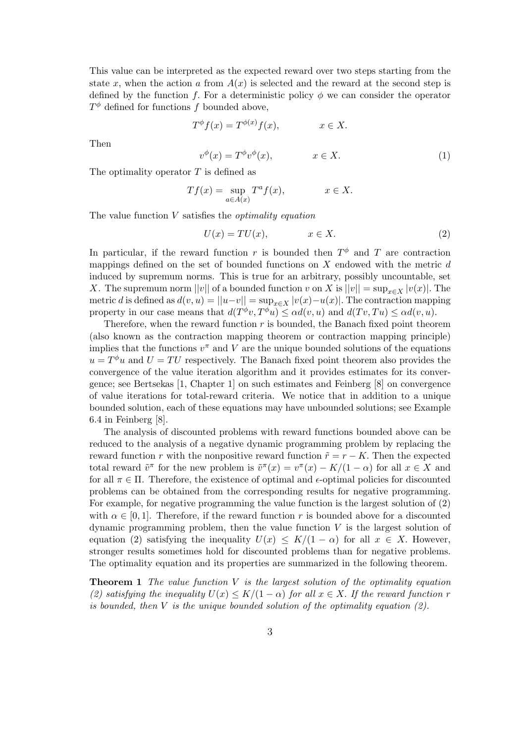This value can be interpreted as the expected reward over two steps starting from the state x, when the action a from  $A(x)$  is selected and the reward at the second step is defined by the function f. For a deterministic policy  $\phi$  we can consider the operator  $T^{\phi}$  defined for functions f bounded above,

$$
T^{\phi}f(x) = T^{\phi(x)}f(x), \qquad x \in X.
$$

Then

$$
v^{\phi}(x) = T^{\phi}v^{\phi}(x), \qquad x \in X. \tag{1}
$$

The optimality operator  $T$  is defined as

$$
Tf(x) = \sup_{a \in A(x)} T^a f(x), \qquad x \in X.
$$

The value function  $V$  satisfies the *optimality equation* 

$$
U(x) = TU(x), \qquad x \in X. \tag{2}
$$

In particular, if the reward function r is bounded then  $T^{\phi}$  and T are contraction mappings defined on the set of bounded functions on  $X$  endowed with the metric  $d$ induced by supremum norms. This is true for an arbitrary, possibly uncountable, set X. The supremum norm  $||v||$  of a bounded function v on X is  $||v|| = \sup_{x \in X} |v(x)|$ . The metric d is defined as  $d(v, u) = ||u - v|| = \sup_{x \in X} |v(x) - u(x)|$ . The contraction mapping property in our case means that  $d(T^{\phi}v, T^{\phi}u) \leq \alpha d(v, u)$  and  $d(Tv, Tu) \leq \alpha d(v, u)$ .

Therefore, when the reward function  $r$  is bounded, the Banach fixed point theorem (also known as the contraction mapping theorem or contraction mapping principle) implies that the functions  $v^{\pi}$  and V are the unique bounded solutions of the equations  $u = T^{\phi}u$  and  $U = TU$  respectively. The Banach fixed point theorem also provides the convergence of the value iteration algorithm and it provides estimates for its convergence; see Bertsekas [1, Chapter 1] on such estimates and Feinberg [8] on convergence of value iterations for total-reward criteria. We notice that in addition to a unique bounded solution, each of these equations may have unbounded solutions; see Example 6.4 in Feinberg [8].

The analysis of discounted problems with reward functions bounded above can be reduced to the analysis of a negative dynamic programming problem by replacing the reward function r with the nonpositive reward function  $\tilde{r} = r - K$ . Then the expected total reward  $\tilde{v}^{\pi}$  for the new problem is  $\tilde{v}^{\pi}(x) = v^{\pi}(x) - K/(1 - \alpha)$  for all  $x \in X$  and for all  $\pi \in \Pi$ . Therefore, the existence of optimal and  $\epsilon$ -optimal policies for discounted problems can be obtained from the corresponding results for negative programming. For example, for negative programming the value function is the largest solution of (2) with  $\alpha \in [0, 1]$ . Therefore, if the reward function r is bounded above for a discounted dynamic programming problem, then the value function  $V$  is the largest solution of equation (2) satisfying the inequality  $U(x) \leq K/(1-\alpha)$  for all  $x \in X$ . However, stronger results sometimes hold for discounted problems than for negative problems. The optimality equation and its properties are summarized in the following theorem.

**Theorem 1** The value function  $V$  is the largest solution of the optimality equation (2) satisfying the inequality  $U(x) \leq K/(1-\alpha)$  for all  $x \in X$ . If the reward function r is bounded, then  $V$  is the unique bounded solution of the optimality equation  $(2)$ .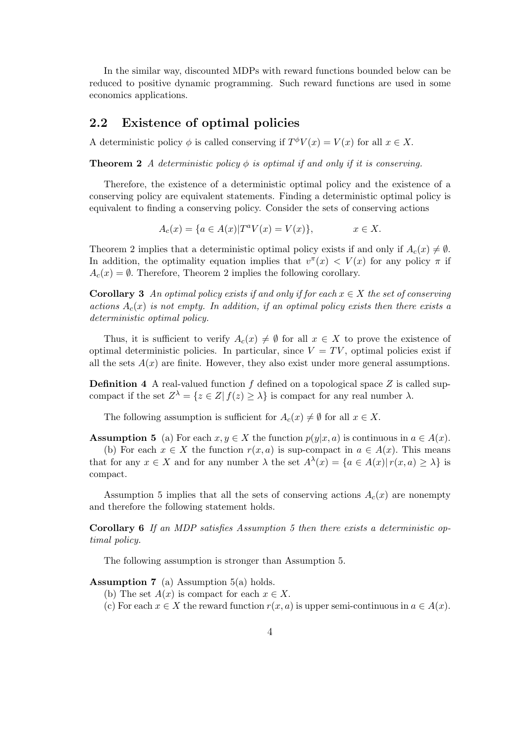In the similar way, discounted MDPs with reward functions bounded below can be reduced to positive dynamic programming. Such reward functions are used in some economics applications.

#### 2.2 Existence of optimal policies

A deterministic policy  $\phi$  is called conserving if  $T^{\phi}V(x) = V(x)$  for all  $x \in X$ .

**Theorem 2** A deterministic policy  $\phi$  is optimal if and only if it is conserving.

Therefore, the existence of a deterministic optimal policy and the existence of a conserving policy are equivalent statements. Finding a deterministic optimal policy is equivalent to finding a conserving policy. Consider the sets of conserving actions

$$
A_c(x) = \{ a \in A(x) | T^a V(x) = V(x) \}, \qquad x \in X.
$$

Theorem 2 implies that a deterministic optimal policy exists if and only if  $A_c(x) \neq \emptyset$ . In addition, the optimality equation implies that  $v^{\pi}(x) < V(x)$  for any policy  $\pi$  if  $A_c(x) = \emptyset$ . Therefore, Theorem 2 implies the following corollary.

**Corollary 3** An optimal policy exists if and only if for each  $x \in X$  the set of conserving actions  $A_c(x)$  is not empty. In addition, if an optimal policy exists then there exists a deterministic optimal policy.

Thus, it is sufficient to verify  $A_c(x) \neq \emptyset$  for all  $x \in X$  to prove the existence of optimal deterministic policies. In particular, since  $V = TV$ , optimal policies exist if all the sets  $A(x)$  are finite. However, they also exist under more general assumptions.

**Definition 4** A real-valued function f defined on a topological space  $Z$  is called supcompact if the set  $Z^{\lambda} = \{z \in Z | f(z) \geq \lambda\}$  is compact for any real number  $\lambda$ .

The following assumption is sufficient for  $A_c(x) \neq \emptyset$  for all  $x \in X$ .

**Assumption 5** (a) For each  $x, y \in X$  the function  $p(y|x, a)$  is continuous in  $a \in A(x)$ .

(b) For each  $x \in X$  the function  $r(x, a)$  is sup-compact in  $a \in A(x)$ . This means that for any  $x \in X$  and for any number  $\lambda$  the set  $A^{\lambda}(x) = \{a \in A(x) | r(x, a) \geq \lambda \}$  is compact.

Assumption 5 implies that all the sets of conserving actions  $A_c(x)$  are nonempty and therefore the following statement holds.

Corollary 6 If an MDP satisfies Assumption 5 then there exists a deterministic optimal policy.

The following assumption is stronger than Assumption 5.

**Assumption 7** (a) Assumption  $5(a)$  holds.

- (b) The set  $A(x)$  is compact for each  $x \in X$ .
- (c) For each  $x \in X$  the reward function  $r(x, a)$  is upper semi-continuous in  $a \in A(x)$ .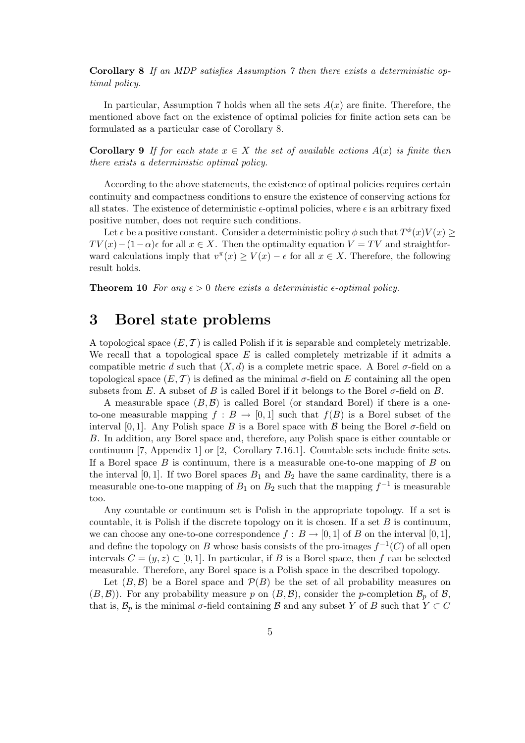Corollary 8 If an MDP satisfies Assumption 7 then there exists a deterministic optimal policy.

In particular, Assumption 7 holds when all the sets  $A(x)$  are finite. Therefore, the mentioned above fact on the existence of optimal policies for finite action sets can be formulated as a particular case of Corollary 8.

**Corollary 9** If for each state  $x \in X$  the set of available actions  $A(x)$  is finite then there exists a deterministic optimal policy.

According to the above statements, the existence of optimal policies requires certain continuity and compactness conditions to ensure the existence of conserving actions for all states. The existence of deterministic  $\epsilon$ -optimal policies, where  $\epsilon$  is an arbitrary fixed positive number, does not require such conditions.

Let  $\epsilon$  be a positive constant. Consider a deterministic policy  $\phi$  such that  $T^{\phi}(x)V(x) \geq$  $TV(x) - (1-\alpha)\epsilon$  for all  $x \in X$ . Then the optimality equation  $V = TV$  and straightforward calculations imply that  $v^{\pi}(x) \geq V(x) - \epsilon$  for all  $x \in X$ . Therefore, the following result holds.

**Theorem 10** For any  $\epsilon > 0$  there exists a deterministic  $\epsilon$ -optimal policy.

# 3 Borel state problems

A topological space  $(E, \mathcal{T})$  is called Polish if it is separable and completely metrizable. We recall that a topological space  $E$  is called completely metrizable if it admits a compatible metric d such that  $(X, d)$  is a complete metric space. A Borel  $\sigma$ -field on a topological space  $(E, \mathcal{T})$  is defined as the minimal  $\sigma$ -field on E containing all the open subsets from E. A subset of B is called Borel if it belongs to the Borel  $\sigma$ -field on B.

A measurable space  $(B, \mathcal{B})$  is called Borel (or standard Borel) if there is a oneto-one measurable mapping  $f : B \to [0, 1]$  such that  $f(B)$  is a Borel subset of the interval [0, 1]. Any Polish space B is a Borel space with B being the Borel  $\sigma$ -field on B. In addition, any Borel space and, therefore, any Polish space is either countable or continuum [7, Appendix 1] or [2, Corollary 7.16.1]. Countable sets include finite sets. If a Borel space  $B$  is continuum, there is a measurable one-to-one mapping of  $B$  on the interval  $[0, 1]$ . If two Borel spaces  $B_1$  and  $B_2$  have the same cardinality, there is a measurable one-to-one mapping of  $B_1$  on  $B_2$  such that the mapping  $f^{-1}$  is measurable too.

Any countable or continuum set is Polish in the appropriate topology. If a set is countable, it is Polish if the discrete topology on it is chosen. If a set  $B$  is continuum, we can choose any one-to-one correspondence  $f : B \to [0, 1]$  of B on the interval  $[0, 1]$ , and define the topology on B whose basis consists of the pro-images  $f^{-1}(C)$  of all open intervals  $C = (y, z) \subset [0, 1]$ . In particular, if B is a Borel space, then f can be selected measurable. Therefore, any Borel space is a Polish space in the described topology.

Let  $(B, \mathcal{B})$  be a Borel space and  $\mathcal{P}(B)$  be the set of all probability measures on  $(B,\mathcal{B})$ . For any probability measure p on  $(B,\mathcal{B})$ , consider the p-completion  $\mathcal{B}_p$  of  $\mathcal{B}$ , that is,  $\mathcal{B}_p$  is the minimal  $\sigma$ -field containing  $\mathcal B$  and any subset Y of B such that  $Y \subset C$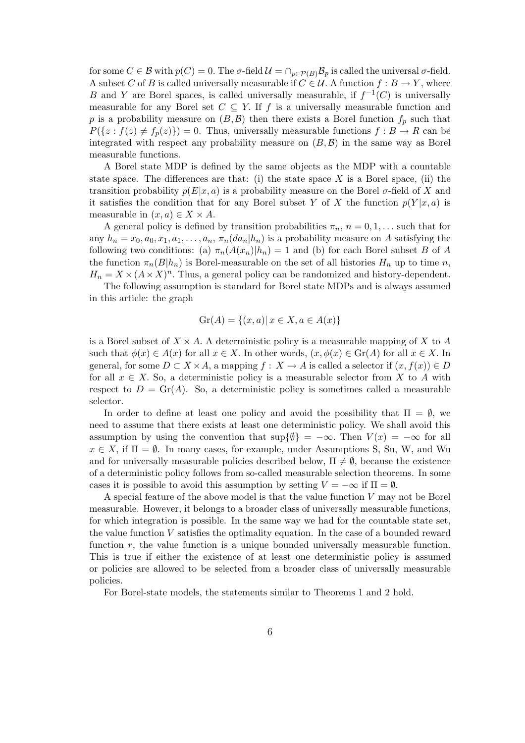for some  $C \in \mathcal{B}$  with  $p(C) = 0$ . The  $\sigma$ -field  $\mathcal{U} = \bigcap_{p \in \mathcal{P}(B)} \mathcal{B}_p$  is called the universal  $\sigma$ -field. A subset C of B is called universally measurable if  $C \in \mathcal{U}$ . A function  $f : B \to Y$ , where B and Y are Borel spaces, is called universally measurable, if  $f^{-1}(C)$  is universally measurable for any Borel set  $C \subseteq Y$ . If f is a universally measurable function and p is a probability measure on  $(B, \mathcal{B})$  then there exists a Borel function  $f_p$  such that  $P({z : f(z) \neq f_p(z)} = 0$ . Thus, universally measurable functions  $f : B \to R$  can be integrated with respect any probability measure on  $(B, \mathcal{B})$  in the same way as Borel measurable functions.

A Borel state MDP is defined by the same objects as the MDP with a countable state space. The differences are that: (i) the state space  $X$  is a Borel space, (ii) the transition probability  $p(E|x, a)$  is a probability measure on the Borel  $\sigma$ -field of X and it satisfies the condition that for any Borel subset Y of X the function  $p(Y|x, a)$  is measurable in  $(x, a) \in X \times A$ .

A general policy is defined by transition probabilities  $\pi_n$ ,  $n = 0, 1, \ldots$  such that for any  $h_n = x_0, a_0, x_1, a_1, \ldots, a_n, \pi_n(da_n|h_n)$  is a probability measure on A satisfying the following two conditions: (a)  $\pi_n(A(x_n)|h_n) = 1$  and (b) for each Borel subset B of A the function  $\pi_n(B|h_n)$  is Borel-measurable on the set of all histories  $H_n$  up to time n,  $H_n = X \times (A \times X)^n$ . Thus, a general policy can be randomized and history-dependent.

The following assumption is standard for Borel state MDPs and is always assumed in this article: the graph

$$
Gr(A) = \{(x, a) | x \in X, a \in A(x)\}\
$$

is a Borel subset of  $X \times A$ . A deterministic policy is a measurable mapping of X to A such that  $\phi(x) \in A(x)$  for all  $x \in X$ . In other words,  $(x, \phi(x) \in \text{Gr}(A)$  for all  $x \in X$ . In general, for some  $D \subset X \times A$ , a mapping  $f: X \to A$  is called a selector if  $(x, f(x)) \in D$ for all  $x \in X$ . So, a deterministic policy is a measurable selector from X to A with respect to  $D = \text{Gr}(A)$ . So, a deterministic policy is sometimes called a measurable selector.

In order to define at least one policy and avoid the possibility that  $\Pi = \emptyset$ , we need to assume that there exists at least one deterministic policy. We shall avoid this assumption by using the convention that  $\sup\{\emptyset\} = -\infty$ . Then  $V(x) = -\infty$  for all  $x \in X$ , if  $\Pi = \emptyset$ . In many cases, for example, under Assumptions S, Su, W, and Wu and for universally measurable policies described below,  $\Pi \neq \emptyset$ , because the existence of a deterministic policy follows from so-called measurable selection theorems. In some cases it is possible to avoid this assumption by setting  $V = -\infty$  if  $\Pi = \emptyset$ .

A special feature of the above model is that the value function V may not be Borel measurable. However, it belongs to a broader class of universally measurable functions, for which integration is possible. In the same way we had for the countable state set, the value function V satisfies the optimality equation. In the case of a bounded reward function  $r$ , the value function is a unique bounded universally measurable function. This is true if either the existence of at least one deterministic policy is assumed or policies are allowed to be selected from a broader class of universally measurable policies.

For Borel-state models, the statements similar to Theorems 1 and 2 hold.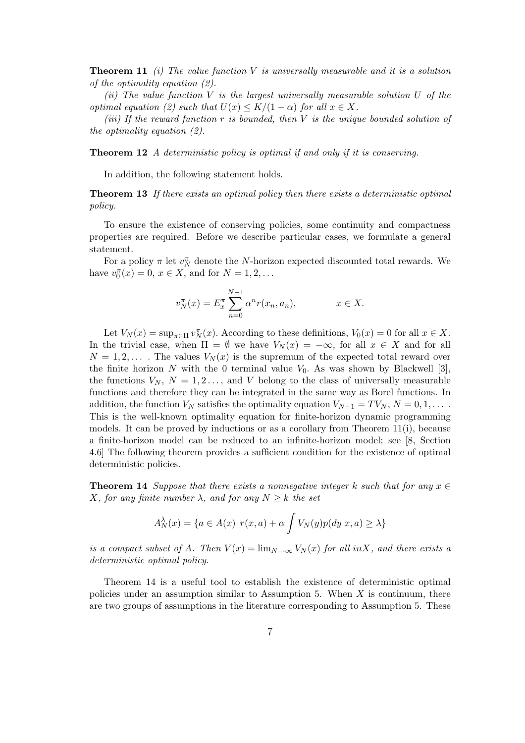**Theorem 11** (i) The value function V is universally measurable and it is a solution of the optimality equation (2).

(ii) The value function  $V$  is the largest universally measurable solution  $U$  of the optimal equation (2) such that  $U(x) \leq K/(1-\alpha)$  for all  $x \in X$ .

(iii) If the reward function r is bounded, then V is the unique bounded solution of the optimality equation (2).

Theorem 12 A deterministic policy is optimal if and only if it is conserving.

In addition, the following statement holds.

**Theorem 13** If there exists an optimal policy then there exists a deterministic optimal policy.

To ensure the existence of conserving policies, some continuity and compactness properties are required. Before we describe particular cases, we formulate a general statement.

For a policy  $\pi$  let  $v_N^{\pi}$  denote the N-horizon expected discounted total rewards. We have  $v_0^{\pi}(x) = 0, x \in X$ , and for  $N = 1, 2, ...$ 

$$
v_N^{\pi}(x) = E_x^{\pi} \sum_{n=0}^{N-1} \alpha^n r(x_n, a_n), \qquad x \in X.
$$

Let  $V_N(x) = \sup_{\pi \in \Pi} v_N^{\pi}(x)$ . According to these definitions,  $V_0(x) = 0$  for all  $x \in X$ . In the trivial case, when  $\Pi = \emptyset$  we have  $V_N(x) = -\infty$ , for all  $x \in X$  and for all  $N = 1, 2, \ldots$ . The values  $V_N(x)$  is the supremum of the expected total reward over the finite horizon N with the 0 terminal value  $V_0$ . As was shown by Blackwell [3], the functions  $V_N$ ,  $N = 1, 2, \ldots$ , and V belong to the class of universally measurable functions and therefore they can be integrated in the same way as Borel functions. In addition, the function  $V_N$  satisfies the optimality equation  $V_{N+1} = TV_N$ ,  $N = 0, 1, \ldots$ . This is the well-known optimality equation for finite-horizon dynamic programming models. It can be proved by inductions or as a corollary from Theorem 11(i), because a finite-horizon model can be reduced to an infinite-horizon model; see [8, Section 4.6] The following theorem provides a sufficient condition for the existence of optimal deterministic policies.

**Theorem 14** Suppose that there exists a nonnegative integer k such that for any  $x \in \mathbb{R}$ X, for any finite number  $\lambda$ , and for any  $N \geq k$  the set

$$
A_N^{\lambda}(x) = \{ a \in A(x) | r(x, a) + \alpha \int V_N(y) p(dy|x, a) \ge \lambda \}
$$

is a compact subset of A. Then  $V(x) = \lim_{N \to \infty} V_N(x)$  for all inX, and there exists a deterministic optimal policy.

Theorem 14 is a useful tool to establish the existence of deterministic optimal policies under an assumption similar to Assumption 5. When  $X$  is continuum, there are two groups of assumptions in the literature corresponding to Assumption 5. These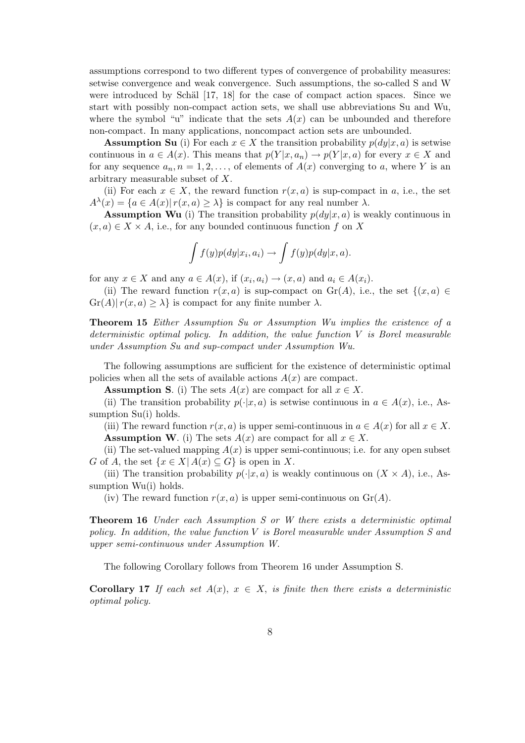assumptions correspond to two different types of convergence of probability measures: setwise convergence and weak convergence. Such assumptions, the so-called S and W were introduced by Schäl  $[17, 18]$  for the case of compact action spaces. Since we start with possibly non-compact action sets, we shall use abbreviations Su and Wu, where the symbol "u" indicate that the sets  $A(x)$  can be unbounded and therefore non-compact. In many applications, noncompact action sets are unbounded.

**Assumption Su** (i) For each  $x \in X$  the transition probability  $p(dy|x, a)$  is setwise continuous in  $a \in A(x)$ . This means that  $p(Y|x, a_n) \to p(Y|x, a)$  for every  $x \in X$  and for any sequence  $a_n, n = 1, 2, \ldots$ , of elements of  $A(x)$  converging to a, where Y is an arbitrary measurable subset of X.

(ii) For each  $x \in X$ , the reward function  $r(x, a)$  is sup-compact in a, i.e., the set  $A^{\lambda}(x) = \{a \in A(x) | r(x, a) \geq \lambda\}$  is compact for any real number  $\lambda$ .

**Assumption Wu** (i) The transition probability  $p(dy|x, a)$  is weakly continuous in  $(x, a) \in X \times A$ , i.e., for any bounded continuous function f on X

$$
\int f(y)p(dy|x_i, a_i) \to \int f(y)p(dy|x, a).
$$

for any  $x \in X$  and any  $a \in A(x)$ , if  $(x_i, a_i) \to (x, a)$  and  $a_i \in A(x_i)$ .

(ii) The reward function  $r(x, a)$  is sup-compact on  $\text{Gr}(A)$ , i.e., the set  $\{(x, a) \in$  $\{Gr(A)| r(x,a) \geq \lambda \}$  is compact for any finite number  $\lambda$ .

Theorem 15 Either Assumption Su or Assumption Wu implies the existence of a deterministic optimal policy. In addition, the value function V is Borel measurable under Assumption Su and sup-compact under Assumption Wu.

The following assumptions are sufficient for the existence of deterministic optimal policies when all the sets of available actions  $A(x)$  are compact.

**Assumption S.** (i) The sets  $A(x)$  are compact for all  $x \in X$ .

(ii) The transition probability  $p(\cdot|x, a)$  is setwise continuous in  $a \in A(x)$ , i.e., Assumption Su(i) holds.

(iii) The reward function  $r(x, a)$  is upper semi-continuous in  $a \in A(x)$  for all  $x \in X$ . **Assumption W**. (i) The sets  $A(x)$  are compact for all  $x \in X$ .

(ii) The set-valued mapping  $A(x)$  is upper semi-continuous; i.e. for any open subset G of A, the set  $\{x \in X | A(x) \subseteq G\}$  is open in X.

(iii) The transition probability  $p(\cdot|x, a)$  is weakly continuous on  $(X \times A)$ , i.e., Assumption Wu(i) holds.

(iv) The reward function  $r(x, a)$  is upper semi-continuous on  $\mathrm{Gr}(A)$ .

**Theorem 16** Under each Assumption S or W there exists a deterministic optimal policy. In addition, the value function V is Borel measurable under Assumption S and upper semi-continuous under Assumption W.

The following Corollary follows from Theorem 16 under Assumption S.

**Corollary 17** If each set  $A(x)$ ,  $x \in X$ , is finite then there exists a deterministic optimal policy.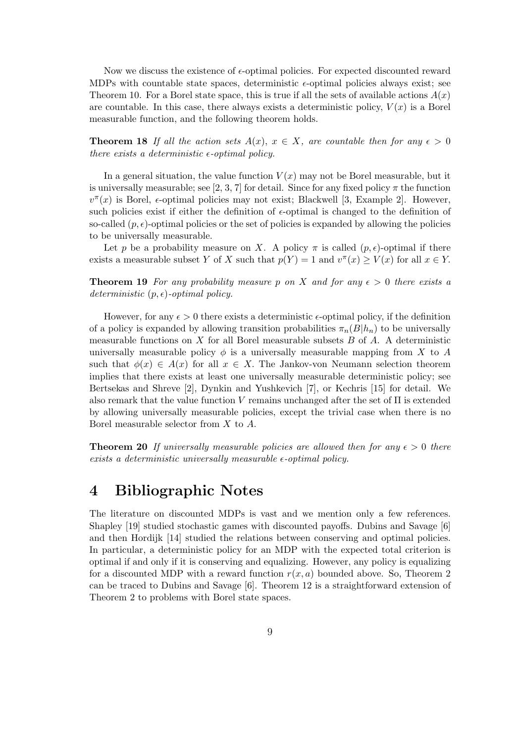Now we discuss the existence of  $\epsilon$ -optimal policies. For expected discounted reward MDPs with countable state spaces, deterministic  $\epsilon$ -optimal policies always exist; see Theorem 10. For a Borel state space, this is true if all the sets of available actions  $A(x)$ are countable. In this case, there always exists a deterministic policy,  $V(x)$  is a Borel measurable function, and the following theorem holds.

**Theorem 18** If all the action sets  $A(x)$ ,  $x \in X$ , are countable then for any  $\epsilon > 0$ there exists a deterministic  $\epsilon$ -optimal policy.

In a general situation, the value function  $V(x)$  may not be Borel measurable, but it is universally measurable; see [2, 3, 7] for detail. Since for any fixed policy  $\pi$  the function  $v^{\pi}(x)$  is Borel,  $\epsilon$ -optimal policies may not exist; Blackwell [3, Example 2]. However, such policies exist if either the definition of  $\epsilon$ -optimal is changed to the definition of so-called  $(p, \epsilon)$ -optimal policies or the set of policies is expanded by allowing the policies to be universally measurable.

Let p be a probability measure on X. A policy  $\pi$  is called  $(p, \epsilon)$ -optimal if there exists a measurable subset Y of X such that  $p(Y) = 1$  and  $v^{\pi}(x) \ge V(x)$  for all  $x \in Y$ .

**Theorem 19** For any probability measure p on X and for any  $\epsilon > 0$  there exists a deterministic  $(p, \epsilon)$ -optimal policy.

However, for any  $\epsilon > 0$  there exists a deterministic  $\epsilon$ -optimal policy, if the definition of a policy is expanded by allowing transition probabilities  $\pi_n(B|h_n)$  to be universally measurable functions on  $X$  for all Borel measurable subsets  $B$  of  $A$ . A deterministic universally measurable policy  $\phi$  is a universally measurable mapping from X to A such that  $\phi(x) \in A(x)$  for all  $x \in X$ . The Jankov-von Neumann selection theorem implies that there exists at least one universally measurable deterministic policy; see Bertsekas and Shreve [2], Dynkin and Yushkevich [7], or Kechris [15] for detail. We also remark that the value function  $V$  remains unchanged after the set of  $\Pi$  is extended by allowing universally measurable policies, except the trivial case when there is no Borel measurable selector from X to A.

**Theorem 20** If universally measurable policies are allowed then for any  $\epsilon > 0$  there exists a deterministic universally measurable  $\epsilon$ -optimal policy.

# 4 Bibliographic Notes

The literature on discounted MDPs is vast and we mention only a few references. Shapley [19] studied stochastic games with discounted payoffs. Dubins and Savage [6] and then Hordijk [14] studied the relations between conserving and optimal policies. In particular, a deterministic policy for an MDP with the expected total criterion is optimal if and only if it is conserving and equalizing. However, any policy is equalizing for a discounted MDP with a reward function  $r(x, a)$  bounded above. So, Theorem 2 can be traced to Dubins and Savage [6]. Theorem 12 is a straightforward extension of Theorem 2 to problems with Borel state spaces.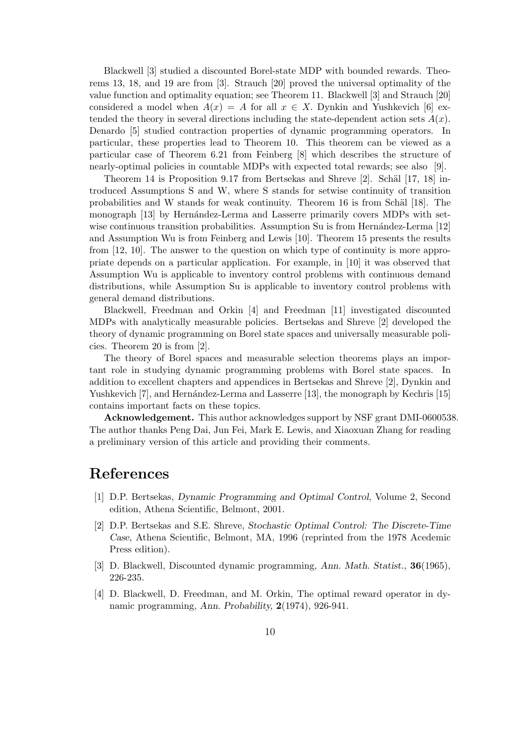Blackwell [3] studied a discounted Borel-state MDP with bounded rewards. Theorems 13, 18, and 19 are from [3]. Strauch [20] proved the universal optimality of the value function and optimality equation; see Theorem 11. Blackwell [3] and Strauch [20] considered a model when  $A(x) = A$  for all  $x \in X$ . Dynkin and Yushkevich [6] extended the theory in several directions including the state-dependent action sets  $A(x)$ . Denardo [5] studied contraction properties of dynamic programming operators. In particular, these properties lead to Theorem 10. This theorem can be viewed as a particular case of Theorem 6.21 from Feinberg [8] which describes the structure of nearly-optimal policies in countable MDPs with expected total rewards; see also [9].

Theorem 14 is Proposition 9.17 from Bertsekas and Shreve  $[2]$ . Schäl  $[17, 18]$  introduced Assumptions S and W, where S stands for setwise continuity of transition probabilities and W stands for weak continuity. Theorem 16 is from Schäl [18]. The monograph [13] by Hernández-Lerma and Lasserre primarily covers MDPs with setwise continuous transition probabilities. Assumption Su is from Hernández-Lerma  $[12]$ and Assumption Wu is from Feinberg and Lewis [10]. Theorem 15 presents the results from [12, 10]. The answer to the question on which type of continuity is more appropriate depends on a particular application. For example, in [10] it was observed that Assumption Wu is applicable to inventory control problems with continuous demand distributions, while Assumption Su is applicable to inventory control problems with general demand distributions.

Blackwell, Freedman and Orkin [4] and Freedman [11] investigated discounted MDPs with analytically measurable policies. Bertsekas and Shreve [2] developed the theory of dynamic programming on Borel state spaces and universally measurable policies. Theorem 20 is from [2].

The theory of Borel spaces and measurable selection theorems plays an important role in studying dynamic programming problems with Borel state spaces. In addition to excellent chapters and appendices in Bertsekas and Shreve [2], Dynkin and Yushkevich [7], and Hernández-Lerma and Lasserre [13], the monograph by Kechris [15] contains important facts on these topics.

Acknowledgement. This author acknowledges support by NSF grant DMI-0600538. The author thanks Peng Dai, Jun Fei, Mark E. Lewis, and Xiaoxuan Zhang for reading a preliminary version of this article and providing their comments.

### References

- [1] D.P. Bertsekas, Dynamic Programming and Optimal Control, Volume 2, Second edition, Athena Scientific, Belmont, 2001.
- [2] D.P. Bertsekas and S.E. Shreve, Stochastic Optimal Control: The Discrete-Time Case, Athena Scientific, Belmont, MA, 1996 (reprinted from the 1978 Acedemic Press edition).
- [3] D. Blackwell, Discounted dynamic programming, Ann. Math. Statist., 36(1965), 226-235.
- [4] D. Blackwell, D. Freedman, and M. Orkin, The optimal reward operator in dynamic programming, Ann. Probability, 2(1974), 926-941.